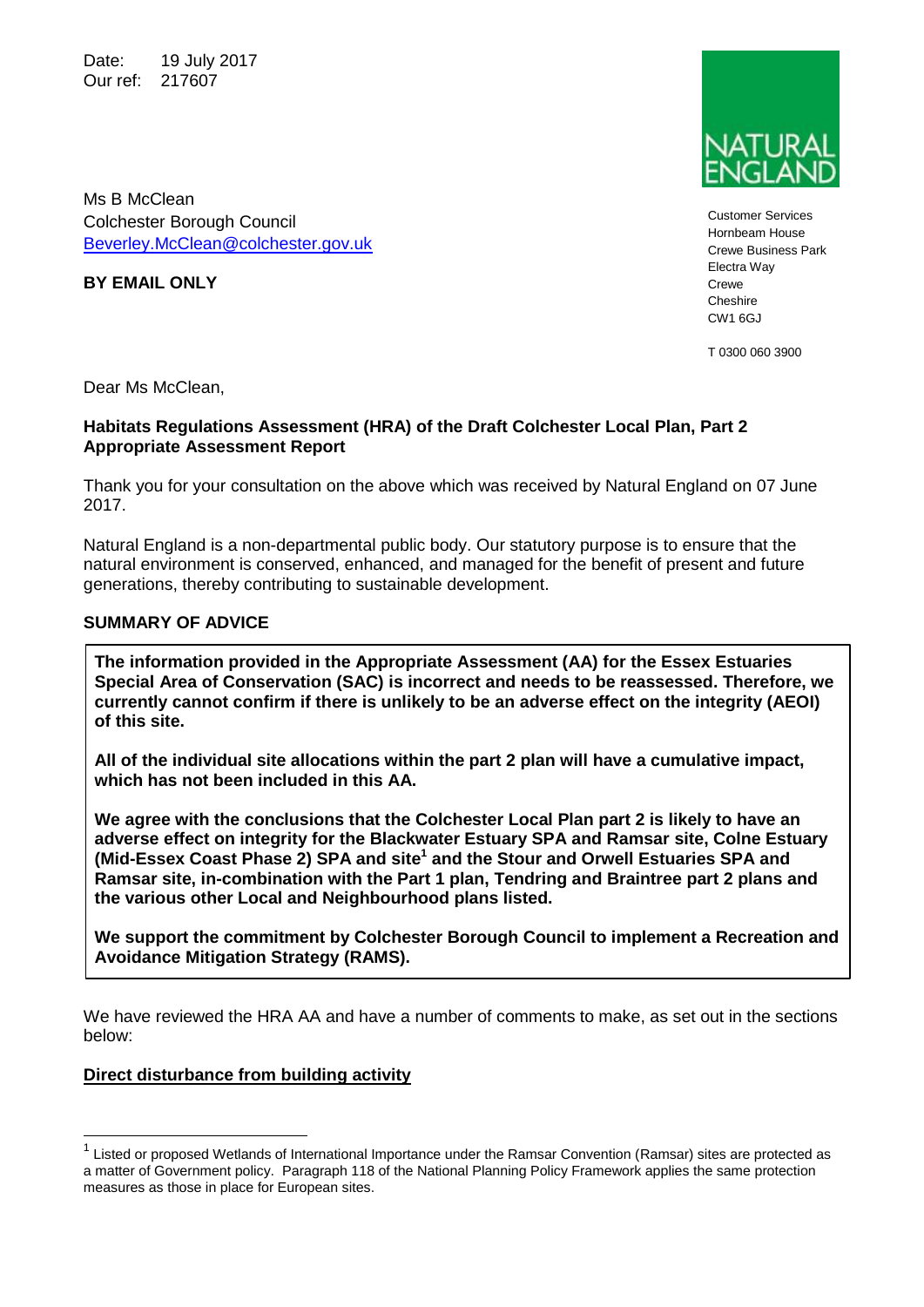Date: 19 July 2017 Our ref: 217607



Customer Services Hornbeam House Crewe Business Park Electra Way Crewe Cheshire CW1 6GJ

T 0300 060 3900

Colchester Borough Council

[Beverley.McClean@colchester.gov.uk](mailto:Beverley.McClean@colchester.gov.uk)

Dear Ms McClean.

**BY EMAIL ONLY**

Ms B McClean

#### **Habitats Regulations Assessment (HRA) of the Draft Colchester Local Plan, Part 2 Appropriate Assessment Report**

Thank you for your consultation on the above which was received by Natural England on 07 June 2017.

Natural England is a non-departmental public body. Our statutory purpose is to ensure that the natural environment is conserved, enhanced, and managed for the benefit of present and future generations, thereby contributing to sustainable development.

### **SUMMARY OF ADVICE**

**The information provided in the Appropriate Assessment (AA) for the Essex Estuaries Special Area of Conservation (SAC) is incorrect and needs to be reassessed. Therefore, we currently cannot confirm if there is unlikely to be an adverse effect on the integrity (AEOI) of this site.**

**All of the individual site allocations within the part 2 plan will have a cumulative impact, which has not been included in this AA.** 

**We agree with the conclusions that the Colchester Local Plan part 2 is likely to have an adverse effect on integrity for the Blackwater Estuary SPA and Ramsar site, Colne Estuary (Mid-Essex Coast Phase 2) SPA and site<sup>1</sup> and the Stour and Orwell Estuaries SPA and Ramsar site, in-combination with the Part 1 plan, Tendring and Braintree part 2 plans and the various other Local and Neighbourhood plans listed.** 

**We support the commitment by Colchester Borough Council to implement a Recreation and Avoidance Mitigation Strategy (RAMS).**

We have reviewed the HRA AA and have a number of comments to make, as set out in the sections below:

#### **Direct disturbance from building activity**

 $\overline{a}$ 

<sup>1</sup> Listed or proposed Wetlands of International Importance under the Ramsar Convention (Ramsar) sites are protected as a matter of Government policy. Paragraph 118 of the National Planning Policy Framework applies the same protection measures as those in place for European sites.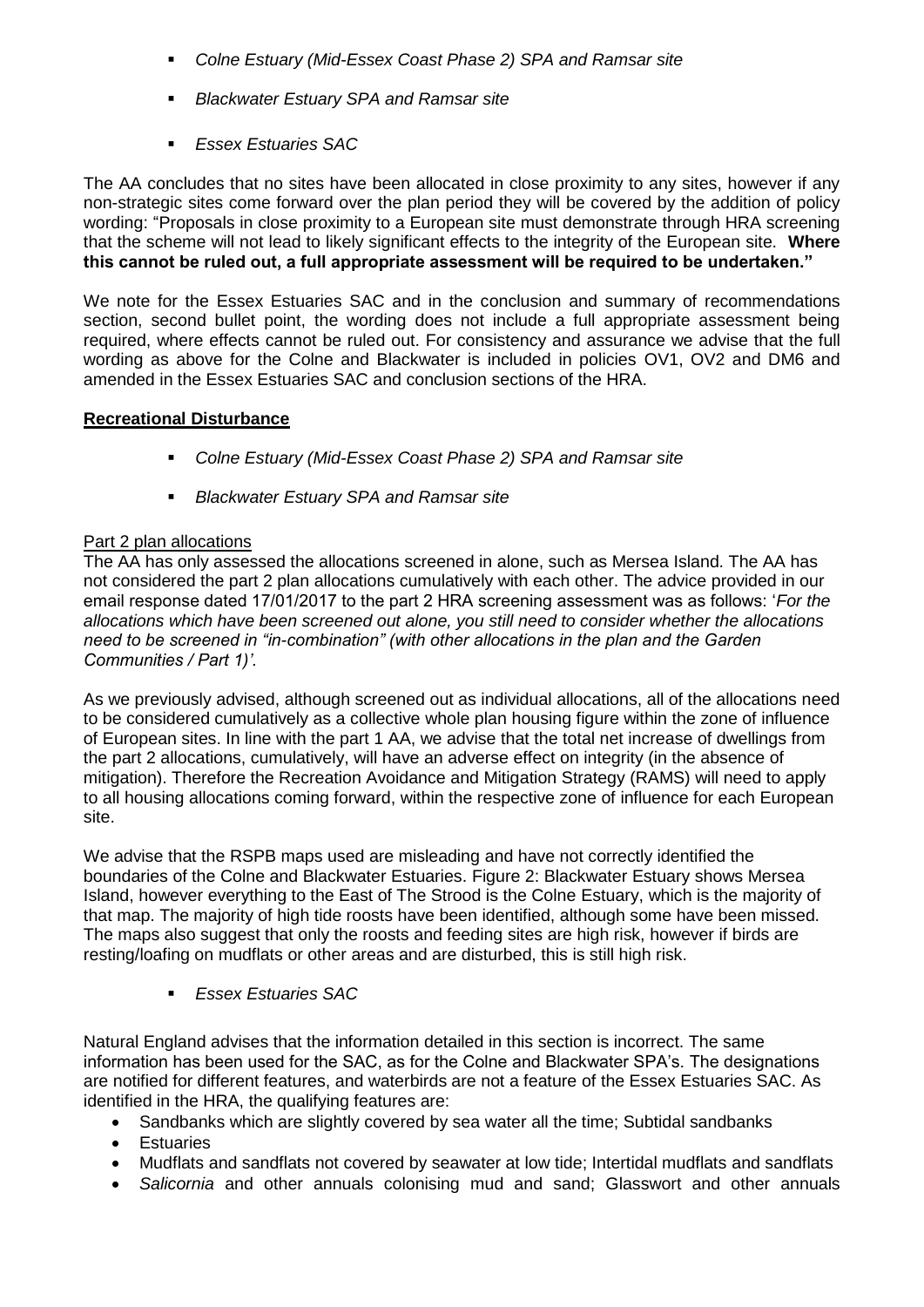- *Colne Estuary (Mid-Essex Coast Phase 2) SPA and Ramsar site*
- *Blackwater Estuary SPA and Ramsar site*
- *Essex Estuaries SAC*

The AA concludes that no sites have been allocated in close proximity to any sites, however if any non-strategic sites come forward over the plan period they will be covered by the addition of policy wording: "Proposals in close proximity to a European site must demonstrate through HRA screening that the scheme will not lead to likely significant effects to the integrity of the European site. **Where this cannot be ruled out, a full appropriate assessment will be required to be undertaken."**

We note for the Essex Estuaries SAC and in the conclusion and summary of recommendations section, second bullet point, the wording does not include a full appropriate assessment being required, where effects cannot be ruled out. For consistency and assurance we advise that the full wording as above for the Colne and Blackwater is included in policies OV1, OV2 and DM6 and amended in the Essex Estuaries SAC and conclusion sections of the HRA.

#### **Recreational Disturbance**

- *Colne Estuary (Mid-Essex Coast Phase 2) SPA and Ramsar site*
- *Blackwater Estuary SPA and Ramsar site*

#### Part 2 plan allocations

The AA has only assessed the allocations screened in alone, such as Mersea Island. The AA has not considered the part 2 plan allocations cumulatively with each other. The advice provided in our email response dated 17/01/2017 to the part 2 HRA screening assessment was as follows: '*For the allocations which have been screened out alone, you still need to consider whether the allocations need to be screened in "in-combination" (with other allocations in the plan and the Garden Communities / Part 1)'.*

As we previously advised, although screened out as individual allocations, all of the allocations need to be considered cumulatively as a collective whole plan housing figure within the zone of influence of European sites. In line with the part 1 AA, we advise that the total net increase of dwellings from the part 2 allocations, cumulatively, will have an adverse effect on integrity (in the absence of mitigation). Therefore the Recreation Avoidance and Mitigation Strategy (RAMS) will need to apply to all housing allocations coming forward, within the respective zone of influence for each European site.

We advise that the RSPB maps used are misleading and have not correctly identified the boundaries of the Colne and Blackwater Estuaries. Figure 2: Blackwater Estuary shows Mersea Island, however everything to the East of The Strood is the Colne Estuary, which is the majority of that map. The majority of high tide roosts have been identified, although some have been missed. The maps also suggest that only the roosts and feeding sites are high risk, however if birds are resting/loafing on mudflats or other areas and are disturbed, this is still high risk.

*Essex Estuaries SAC*

Natural England advises that the information detailed in this section is incorrect. The same information has been used for the SAC, as for the Colne and Blackwater SPA's. The designations are notified for different features, and waterbirds are not a feature of the Essex Estuaries SAC. As identified in the HRA, the qualifying features are:

- Sandbanks which are slightly covered by sea water all the time; Subtidal sandbanks
- Estuaries
- Mudflats and sandflats not covered by seawater at low tide; Intertidal mudflats and sandflats
- *Salicornia* and other annuals colonising mud and sand; Glasswort and other annuals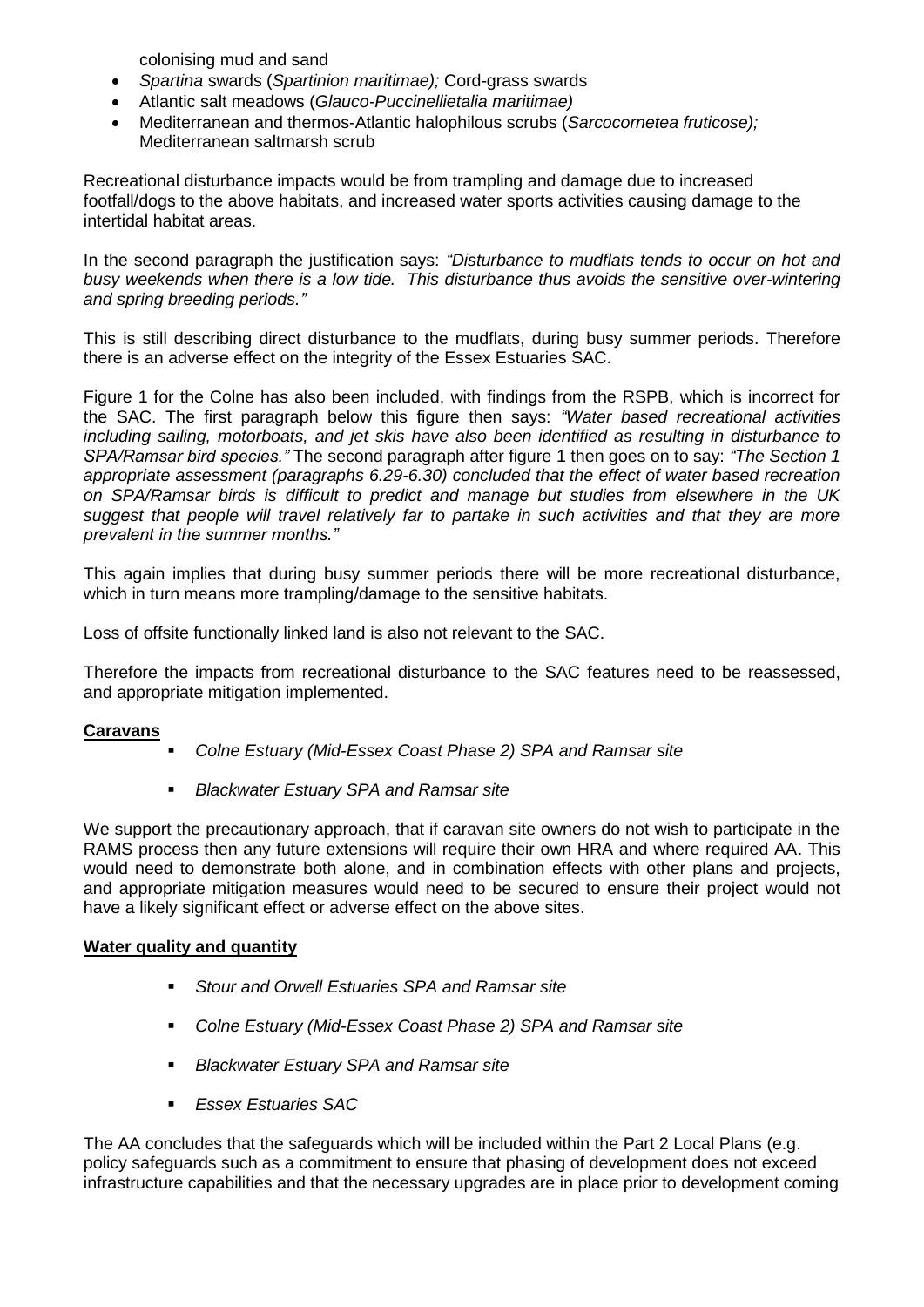colonising mud and sand

- *Spartina* swards (*Spartinion maritimae);* Cord-grass swards
- Atlantic salt meadows (*Glauco-Puccinellietalia maritimae)*
- Mediterranean and thermos-Atlantic halophilous scrubs (*Sarcocornetea fruticose);*  Mediterranean saltmarsh scrub

Recreational disturbance impacts would be from trampling and damage due to increased footfall/dogs to the above habitats, and increased water sports activities causing damage to the intertidal habitat areas.

In the second paragraph the justification says: *"Disturbance to mudflats tends to occur on hot and busy weekends when there is a low tide. This disturbance thus avoids the sensitive over-wintering and spring breeding periods."*

This is still describing direct disturbance to the mudflats, during busy summer periods. Therefore there is an adverse effect on the integrity of the Essex Estuaries SAC.

Figure 1 for the Colne has also been included, with findings from the RSPB, which is incorrect for the SAC. The first paragraph below this figure then says: *"Water based recreational activities including sailing, motorboats, and jet skis have also been identified as resulting in disturbance to SPA/Ramsar bird species."* The second paragraph after figure 1 then goes on to say: *"The Section 1 appropriate assessment (paragraphs 6.29-6.30) concluded that the effect of water based recreation on SPA/Ramsar birds is difficult to predict and manage but studies from elsewhere in the UK suggest that people will travel relatively far to partake in such activities and that they are more prevalent in the summer months."*

This again implies that during busy summer periods there will be more recreational disturbance, which in turn means more trampling/damage to the sensitive habitats.

Loss of offsite functionally linked land is also not relevant to the SAC.

Therefore the impacts from recreational disturbance to the SAC features need to be reassessed, and appropriate mitigation implemented.

## **Caravans**

- *Colne Estuary (Mid-Essex Coast Phase 2) SPA and Ramsar site*
- *Blackwater Estuary SPA and Ramsar site*

We support the precautionary approach, that if caravan site owners do not wish to participate in the RAMS process then any future extensions will require their own HRA and where required AA. This would need to demonstrate both alone, and in combination effects with other plans and projects, and appropriate mitigation measures would need to be secured to ensure their project would not have a likely significant effect or adverse effect on the above sites.

#### **Water quality and quantity**

- *Stour and Orwell Estuaries SPA and Ramsar site*
- *Colne Estuary (Mid-Essex Coast Phase 2) SPA and Ramsar site*
- *Blackwater Estuary SPA and Ramsar site*
- *Essex Estuaries SAC*

The AA concludes that the safeguards which will be included within the Part 2 Local Plans (e.g. policy safeguards such as a commitment to ensure that phasing of development does not exceed infrastructure capabilities and that the necessary upgrades are in place prior to development coming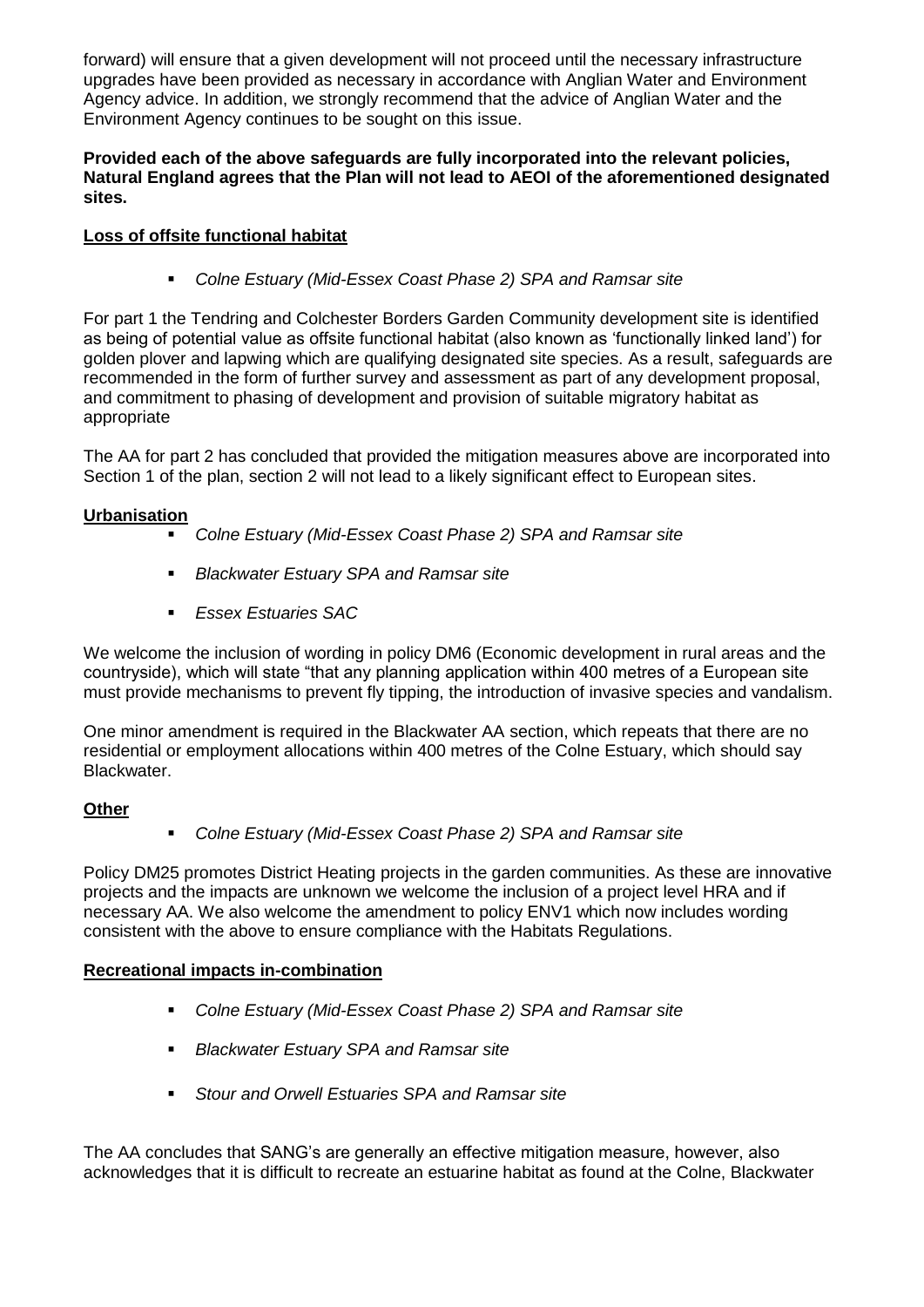forward) will ensure that a given development will not proceed until the necessary infrastructure upgrades have been provided as necessary in accordance with Anglian Water and Environment Agency advice. In addition, we strongly recommend that the advice of Anglian Water and the Environment Agency continues to be sought on this issue.

#### **Provided each of the above safeguards are fully incorporated into the relevant policies, Natural England agrees that the Plan will not lead to AEOI of the aforementioned designated sites.**

# **Loss of offsite functional habitat**

*Colne Estuary (Mid-Essex Coast Phase 2) SPA and Ramsar site*

For part 1 the Tendring and Colchester Borders Garden Community development site is identified as being of potential value as offsite functional habitat (also known as 'functionally linked land') for golden plover and lapwing which are qualifying designated site species. As a result, safeguards are recommended in the form of further survey and assessment as part of any development proposal, and commitment to phasing of development and provision of suitable migratory habitat as appropriate

The AA for part 2 has concluded that provided the mitigation measures above are incorporated into Section 1 of the plan, section 2 will not lead to a likely significant effect to European sites.

## **Urbanisation**

- *Colne Estuary (Mid-Essex Coast Phase 2) SPA and Ramsar site*
- *Blackwater Estuary SPA and Ramsar site*
- *Essex Estuaries SAC*

We welcome the inclusion of wording in policy DM6 (Economic development in rural areas and the countryside), which will state "that any planning application within 400 metres of a European site must provide mechanisms to prevent fly tipping, the introduction of invasive species and vandalism.

One minor amendment is required in the Blackwater AA section, which repeats that there are no residential or employment allocations within 400 metres of the Colne Estuary, which should say Blackwater.

## **Other**

*Colne Estuary (Mid-Essex Coast Phase 2) SPA and Ramsar site*

Policy DM25 promotes District Heating projects in the garden communities. As these are innovative projects and the impacts are unknown we welcome the inclusion of a project level HRA and if necessary AA. We also welcome the amendment to policy ENV1 which now includes wording consistent with the above to ensure compliance with the Habitats Regulations.

## **Recreational impacts in-combination**

- *Colne Estuary (Mid-Essex Coast Phase 2) SPA and Ramsar site*
- *Blackwater Estuary SPA and Ramsar site*
- *Stour and Orwell Estuaries SPA and Ramsar site*

The AA concludes that SANG's are generally an effective mitigation measure, however, also acknowledges that it is difficult to recreate an estuarine habitat as found at the Colne, Blackwater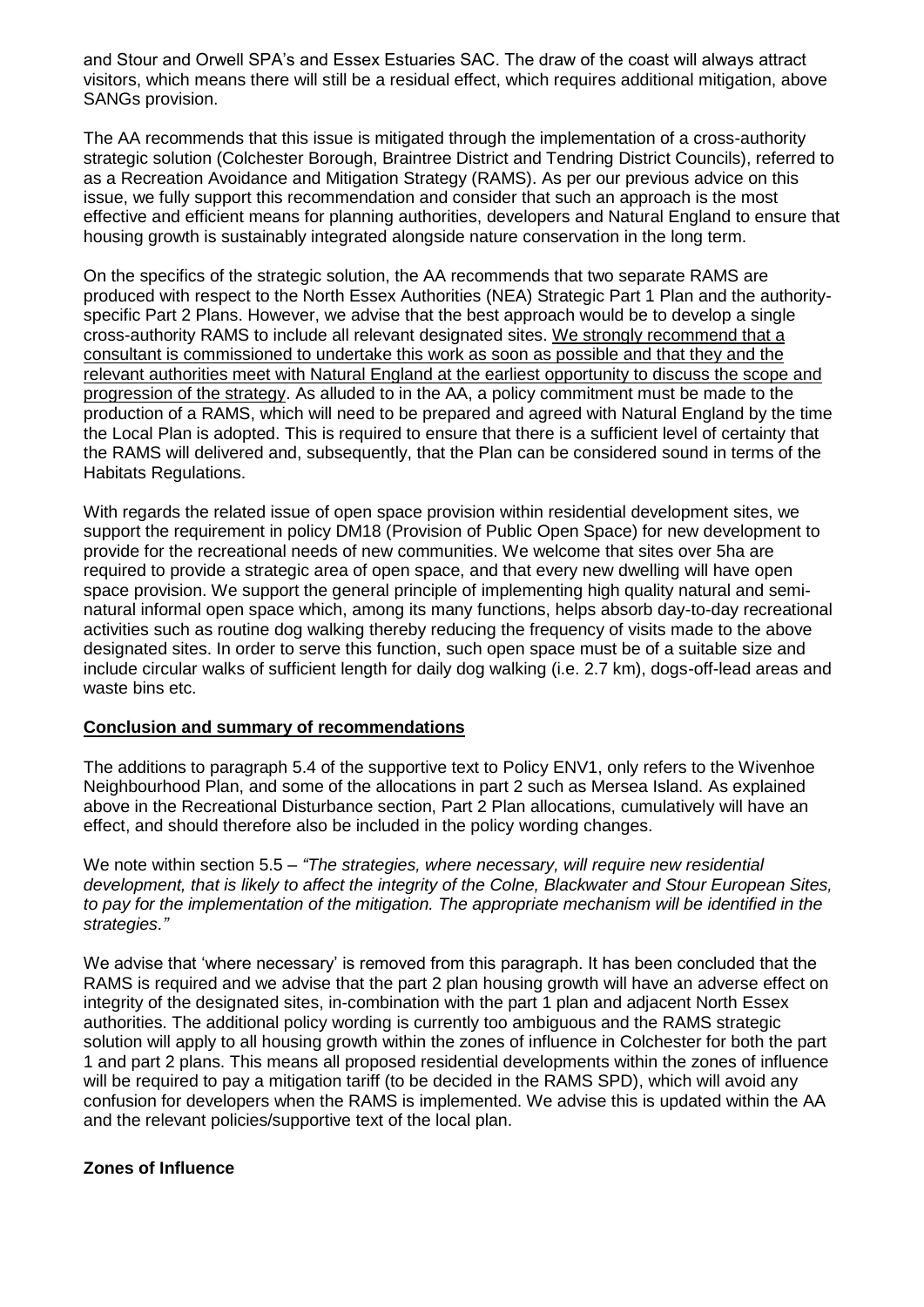and Stour and Orwell SPA's and Essex Estuaries SAC. The draw of the coast will always attract visitors, which means there will still be a residual effect, which requires additional mitigation, above SANGs provision.

The AA recommends that this issue is mitigated through the implementation of a cross-authority strategic solution (Colchester Borough, Braintree District and Tendring District Councils), referred to as a Recreation Avoidance and Mitigation Strategy (RAMS). As per our previous advice on this issue, we fully support this recommendation and consider that such an approach is the most effective and efficient means for planning authorities, developers and Natural England to ensure that housing growth is sustainably integrated alongside nature conservation in the long term.

On the specifics of the strategic solution, the AA recommends that two separate RAMS are produced with respect to the North Essex Authorities (NEA) Strategic Part 1 Plan and the authorityspecific Part 2 Plans. However, we advise that the best approach would be to develop a single cross-authority RAMS to include all relevant designated sites. We strongly recommend that a consultant is commissioned to undertake this work as soon as possible and that they and the relevant authorities meet with Natural England at the earliest opportunity to discuss the scope and progression of the strategy. As alluded to in the AA, a policy commitment must be made to the production of a RAMS, which will need to be prepared and agreed with Natural England by the time the Local Plan is adopted. This is required to ensure that there is a sufficient level of certainty that the RAMS will delivered and, subsequently, that the Plan can be considered sound in terms of the Habitats Regulations.

With regards the related issue of open space provision within residential development sites, we support the requirement in policy DM18 (Provision of Public Open Space) for new development to provide for the recreational needs of new communities. We welcome that sites over 5ha are required to provide a strategic area of open space, and that every new dwelling will have open space provision. We support the general principle of implementing high quality natural and seminatural informal open space which, among its many functions, helps absorb day-to-day recreational activities such as routine dog walking thereby reducing the frequency of visits made to the above designated sites. In order to serve this function, such open space must be of a suitable size and include circular walks of sufficient length for daily dog walking (i.e. 2.7 km), dogs-off-lead areas and waste bins etc.

#### **Conclusion and summary of recommendations**

The additions to paragraph 5.4 of the supportive text to Policy ENV1, only refers to the Wivenhoe Neighbourhood Plan, and some of the allocations in part 2 such as Mersea Island. As explained above in the Recreational Disturbance section, Part 2 Plan allocations, cumulatively will have an effect, and should therefore also be included in the policy wording changes.

We note within section 5.5 – *"The strategies, where necessary, will require new residential development, that is likely to affect the integrity of the Colne, Blackwater and Stour European Sites,*  to pay for the implementation of the mitigation. The appropriate mechanism will be identified in the *strategies."*

We advise that 'where necessary' is removed from this paragraph. It has been concluded that the RAMS is required and we advise that the part 2 plan housing growth will have an adverse effect on integrity of the designated sites, in-combination with the part 1 plan and adjacent North Essex authorities. The additional policy wording is currently too ambiguous and the RAMS strategic solution will apply to all housing growth within the zones of influence in Colchester for both the part 1 and part 2 plans. This means all proposed residential developments within the zones of influence will be required to pay a mitigation tariff (to be decided in the RAMS SPD), which will avoid any confusion for developers when the RAMS is implemented. We advise this is updated within the AA and the relevant policies/supportive text of the local plan.

#### **Zones of Influence**